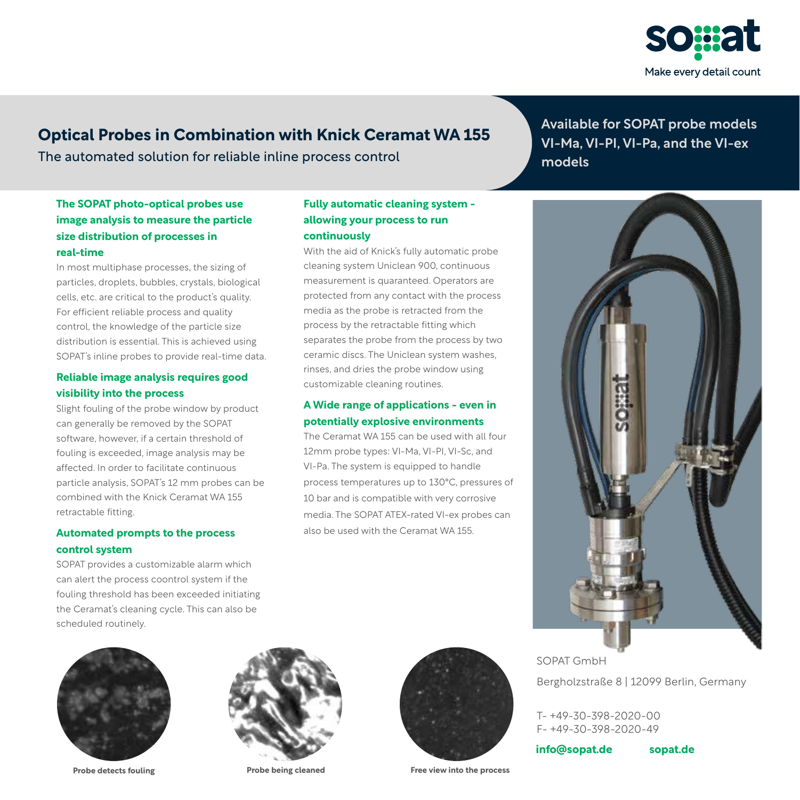

# **Optical Probes in Combination with Knick Ceramat WA 155**

The automated solution for reliable inline process control

# **The SOPAT photo-optical probes use image analysis to measure the particle size distribution of processes in real-time**

In most multiphase processes, the sizing of particles, droplets, bubbles, crystals, biological cells, etc. are critical to the product's quality. For efficient reliable process and quality control, the knowledge of the particle size distribution is essential. This is achieved using SOPAT's inline probes to provide real-time data.

# **Reliable image analysis requires good visibility into the process**

Slight fouling of the probe window by product can generally be removed by the SOPAT software, however, if a certain threshold of fouling is exceeded, image analysis may be affected. In order to facilitate continuous particle analysis, SOPAT's 12 mm probes can be combined with the Knick Ceramat WA 155 retractable fitting.

## **Automated prompts to the process control system**

SOPAT provides a customizable alarm which can alert the process coontrol system if the fouling threshold has been exceeded initiating the Ceramat's cleaning cycle. This can also be scheduled routinely.

# **Fully automatic cleaning system allowing your process to run continuously**

With the aid of Knick's fully automatic probe cleaning system Uniclean 900, continuous measurement is quaranteed. Operators are protected from any contact with the process media as the probe is retracted from the process by the retractable fitting which separates the probe from the process by two ceramic discs. The Uniclean system washes, rinses, and dries the probe window using customizable cleaning routines.

## **A Wide range of applications - even in potentially explosive environments**

The Ceramat WA 155 can be used with all four 12mm probe types: VI-Ma, VI-PI, VI-Sc, and VI-Pa. The system is equipped to handle process temperatures up to 130°C, pressures of 10 bar and is compatible with very corrosive media. The SOPAT ATEX-rated VI-ex probes can also be used with the Ceramat WA 155.

Available for SOPAT probe models VI-Ma, VI-PI, VI-Pa, and the VI-ex models







**Probe detects fouling Probe being cleaned Free view into the process**

SOPAT GmbH Bergholzstraße 8 | 12099 Berlin, Germany

T- +49-30-398-2020-00 F- +49-30-398-2020-49

**info@sopat.de sopat.de**